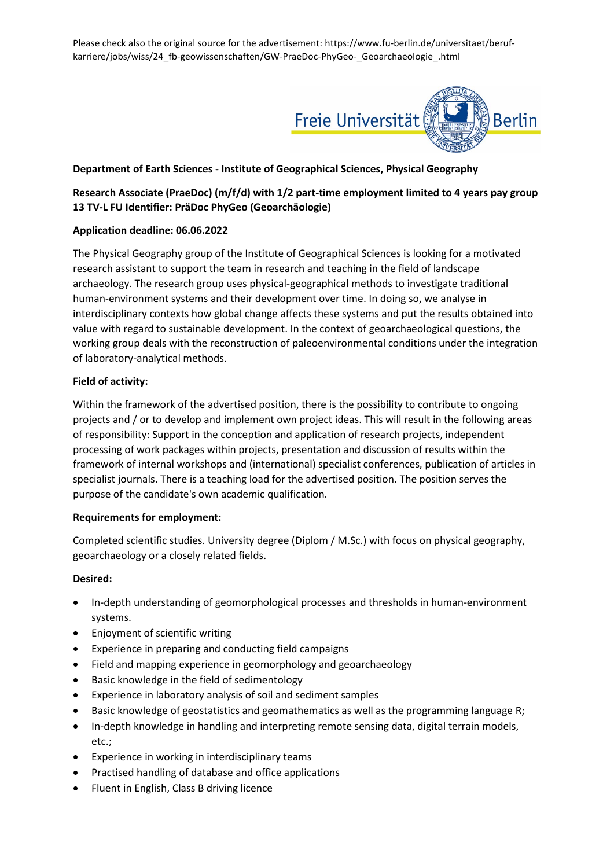Please check also the original source for the advertisement: https://www.fu-berlin.de/universitaet/berufkarriere/jobs/wiss/24\_fb-geowissenschaften/GW-PraeDoc-PhyGeo-\_Geoarchaeologie\_.html



# **Department of Earth Sciences - Institute of Geographical Sciences, Physical Geography**

# **Research Associate (PraeDoc) (m/f/d) with 1/2 part-time employment limited to 4 years pay group 13 TV-L FU Identifier: PräDoc PhyGeo (Geoarchäologie)**

# **Application deadline: 06.06.2022**

The Physical Geography group of the Institute of Geographical Sciences is looking for a motivated research assistant to support the team in research and teaching in the field of landscape archaeology. The research group uses physical-geographical methods to investigate traditional human-environment systems and their development over time. In doing so, we analyse in interdisciplinary contexts how global change affects these systems and put the results obtained into value with regard to sustainable development. In the context of geoarchaeological questions, the working group deals with the reconstruction of paleoenvironmental conditions under the integration of laboratory-analytical methods.

### **Field of activity:**

Within the framework of the advertised position, there is the possibility to contribute to ongoing projects and / or to develop and implement own project ideas. This will result in the following areas of responsibility: Support in the conception and application of research projects, independent processing of work packages within projects, presentation and discussion of results within the framework of internal workshops and (international) specialist conferences, publication of articles in specialist journals. There is a teaching load for the advertised position. The position serves the purpose of the candidate's own academic qualification.

#### **Requirements for employment:**

Completed scientific studies. University degree (Diplom / M.Sc.) with focus on physical geography, geoarchaeology or a closely related fields.

#### **Desired:**

- In-depth understanding of geomorphological processes and thresholds in human-environment systems.
- Enjoyment of scientific writing
- Experience in preparing and conducting field campaigns
- Field and mapping experience in geomorphology and geoarchaeology
- Basic knowledge in the field of sedimentology
- Experience in laboratory analysis of soil and sediment samples
- Basic knowledge of geostatistics and geomathematics as well as the programming language R;
- In-depth knowledge in handling and interpreting remote sensing data, digital terrain models, etc.;
- Experience in working in interdisciplinary teams
- Practised handling of database and office applications
- Fluent in English, Class B driving licence